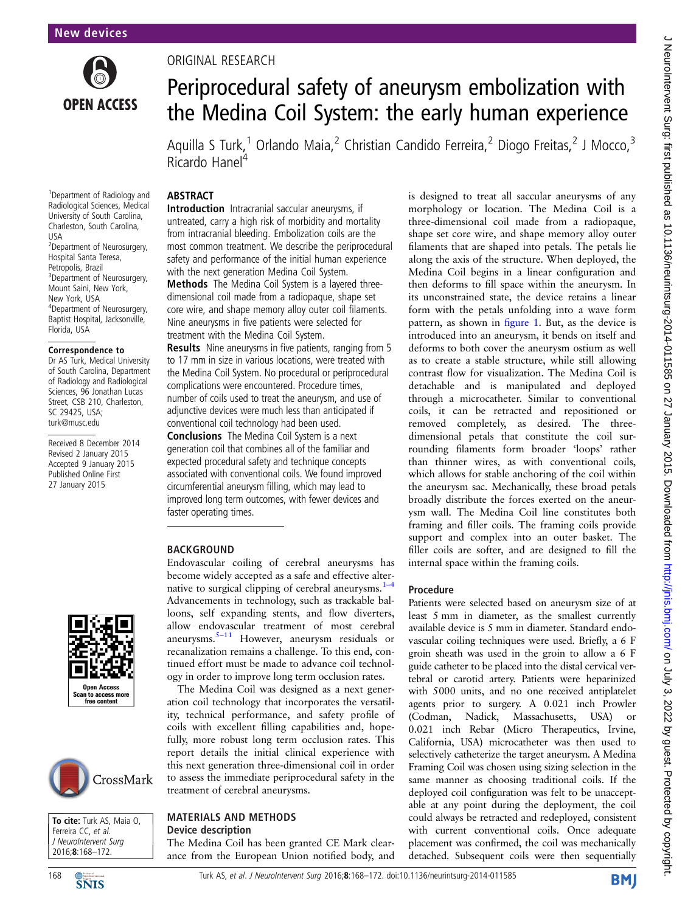

1 Department of Radiology and Radiological Sciences, Medical University of South Carolina, Charleston, South Carolina,

2 Department of Neurosurgery, Hospital Santa Teresa, Petropolis, Brazil

<sup>3</sup>Department of Neurosurgery, Mount Saini, New York, New York, USA

4 Department of Neurosurgery, Baptist Hospital, Jacksonville,

Correspondence to Dr AS Turk, Medical University of South Carolina, Department of Radiology and Radiological Sciences, 96 Jonathan Lucas Street, CSB 210, Charleston, SC 29425, USA; turk@musc.edu

Received 8 December 2014 Revised 2 January 2015 Accepted 9 January 2015 Published Online First 27 January 2015

USA

Florida, USA

## ORIGINAL RESEARCH

# Periprocedural safety of aneurysm embolization with the Medina Coil System: the early human experience

Aquilla S Turk,<sup>1</sup> Orlando Maia,<sup>2</sup> Christian Candido Ferreira,<sup>2</sup> Diogo Freitas,<sup>2</sup> J Mocco,<sup>3</sup> Ricardo Hanel<sup>4</sup>

## ABSTRACT

Introduction Intracranial saccular aneurysms, if untreated, carry a high risk of morbidity and mortality from intracranial bleeding. Embolization coils are the most common treatment. We describe the periprocedural safety and performance of the initial human experience with the next generation Medina Coil System.

Methods The Medina Coil System is a layered threedimensional coil made from a radiopaque, shape set core wire, and shape memory alloy outer coil filaments. Nine aneurysms in five patients were selected for treatment with the Medina Coil System.

Results Nine aneurysms in five patients, ranging from 5 to 17 mm in size in various locations, were treated with the Medina Coil System. No procedural or periprocedural complications were encountered. Procedure times, number of coils used to treat the aneurysm, and use of adjunctive devices were much less than anticipated if conventional coil technology had been used.

Conclusions The Medina Coil System is a next generation coil that combines all of the familiar and expected procedural safety and technique concepts associated with conventional coils. We found improved circumferential aneurysm filling, which may lead to improved long term outcomes, with fewer devices and faster operating times.

## BACKGROUND

Endovascular coiling of cerebral aneurysms has become widely accepted as a safe and effective al[ter](#page-4-0)native to surgical clipping of cerebral aneurysms. $1-4$ Advancements in technology, such as trackable balloons, self expanding stents, and flow diverters, allow endovascular treatment of most cerebral aneurysms.5–[11](#page-4-0) However, aneurysm residuals or recanalization remains a challenge. To this end, continued effort must be made to advance coil technology in order to improve long term occlusion rates.

The Medina Coil was designed as a next generation coil technology that incorporates the versatility, technical performance, and safety profile of coils with excellent filling capabilities and, hopefully, more robust long term occlusion rates. This report details the initial clinical experience with this next generation three-dimensional coil in order to assess the immediate periprocedural safety in the treatment of cerebral aneurysms.

#### MATERIALS AND METHODS Device description

The Medina Coil has been granted CE Mark clearance from the European Union notified body, and

is designed to treat all saccular aneurysms of any morphology or location. The Medina Coil is a three-dimensional coil made from a radiopaque, shape set core wire, and shape memory alloy outer filaments that are shaped into petals. The petals lie along the axis of the structure. When deployed, the Medina Coil begins in a linear configuration and then deforms to fill space within the aneurysm. In its unconstrained state, the device retains a linear form with the petals unfolding into a wave form pattern, as shown in fi[gure 1.](#page-1-0) But, as the device is introduced into an aneurysm, it bends on itself and deforms to both cover the aneurysm ostium as well as to create a stable structure, while still allowing contrast flow for visualization. The Medina Coil is detachable and is manipulated and deployed through a microcatheter. Similar to conventional coils, it can be retracted and repositioned or removed completely, as desired. The threedimensional petals that constitute the coil surrounding filaments form broader 'loops' rather than thinner wires, as with conventional coils, which allows for stable anchoring of the coil within the aneurysm sac. Mechanically, these broad petals broadly distribute the forces exerted on the aneurysm wall. The Medina Coil line constitutes both framing and filler coils. The framing coils provide support and complex into an outer basket. The filler coils are softer, and are designed to fill the internal space within the framing coils.

## Procedure

Patients were selected based on aneurysm size of at least 5 mm in diameter, as the smallest currently available device is 5 mm in diameter. Standard endovascular coiling techniques were used. Briefly, a 6 F groin sheath was used in the groin to allow a 6 F guide catheter to be placed into the distal cervical vertebral or carotid artery. Patients were heparinized with 5000 units, and no one received antiplatelet agents prior to surgery. A 0.021 inch Prowler (Codman, Nadick, Massachusetts, USA) or 0.021 inch Rebar (Micro Therapeutics, Irvine, California, USA) microcatheter was then used to selectively catheterize the target aneurysm. A Medina Framing Coil was chosen using sizing selection in the same manner as choosing traditional coils. If the deployed coil configuration was felt to be unacceptable at any point during the deployment, the coil could always be retracted and redeployed, consistent with current conventional coils. Once adequate placement was confirmed, the coil was mechanically detached. Subsequent coils were then sequentially







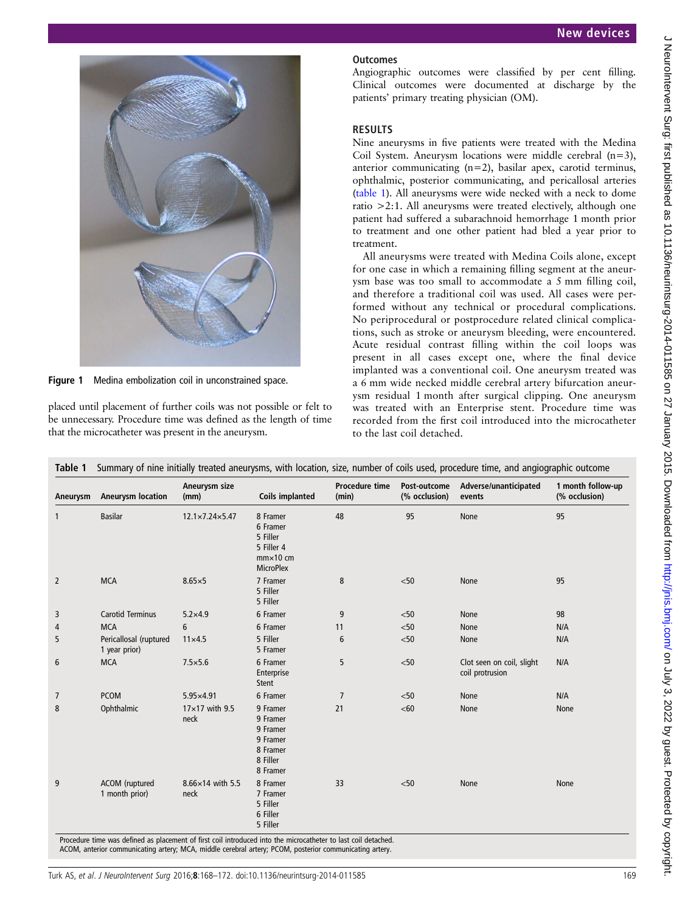<span id="page-1-0"></span>

Figure 1 Medina embolization coil in unconstrained space.

placed until placement of further coils was not possible or felt to be unnecessary. Procedure time was defined as the length of time that the microcatheter was present in the aneurysm.

## **Outcomes**

Angiographic outcomes were classified by per cent filling. Clinical outcomes were documented at discharge by the patients' primary treating physician (OM).

## RESULTS

Nine aneurysms in five patients were treated with the Medina Coil System. Aneurysm locations were middle cerebral (n=3), anterior communicating (n=2), basilar apex, carotid terminus, ophthalmic, posterior communicating, and pericallosal arteries (table 1). All aneurysms were wide necked with a neck to dome ratio >2:1. All aneurysms were treated electively, although one patient had suffered a subarachnoid hemorrhage 1 month prior to treatment and one other patient had bled a year prior to treatment.

All aneurysms were treated with Medina Coils alone, except for one case in which a remaining filling segment at the aneurysm base was too small to accommodate a 5 mm filling coil, and therefore a traditional coil was used. All cases were performed without any technical or procedural complications. No periprocedural or postprocedure related clinical complications, such as stroke or aneurysm bleeding, were encountered. Acute residual contrast filling within the coil loops was present in all cases except one, where the final device implanted was a conventional coil. One aneurysm treated was a 6 mm wide necked middle cerebral artery bifurcation aneurysm residual 1 month after surgical clipping. One aneurysm was treated with an Enterprise stent. Procedure time was recorded from the first coil introduced into the microcatheter to the last coil detached.

| Aneurysm       | <b>Aneurysm location</b>                | Aneurysm size<br>(mm)         | <b>Coils implanted</b>                                                                  | <b>Procedure time</b><br>(min) | Post-outcome<br>(% occlusion) | Adverse/unanticipated<br>events              | 1 month follow-up<br>(% occlusion) |
|----------------|-----------------------------------------|-------------------------------|-----------------------------------------------------------------------------------------|--------------------------------|-------------------------------|----------------------------------------------|------------------------------------|
| $\mathbf{1}$   | <b>Basilar</b>                          | 12.1×7.24×5.47                | 8 Framer<br>6 Framer<br>5 Filler<br>5 Filler 4<br>$mm \times 10$ cm<br><b>MicroPlex</b> | 48                             | 95                            | None                                         | 95                                 |
| $\overline{2}$ | <b>MCA</b>                              | $8.65 \times 5$               | 7 Framer<br>5 Filler<br>5 Filler                                                        | 8                              | $<$ 50                        | None                                         | 95                                 |
| 3              | <b>Carotid Terminus</b>                 | $5.2 \times 4.9$              | 6 Framer                                                                                | 9                              | < 50                          | <b>None</b>                                  | 98                                 |
| 4              | <b>MCA</b>                              | 6                             | 6 Framer                                                                                | 11                             | $<$ 50                        | <b>None</b>                                  | N/A                                |
| 5              | Pericallosal (ruptured<br>1 year prior) | $11 \times 4.5$               | 5 Filler<br>5 Framer                                                                    | 6                              | < 50                          | None                                         | N/A                                |
| 6              | <b>MCA</b>                              | $7.5 \times 5.6$              | 6 Framer<br>Enterprise<br><b>Stent</b>                                                  | 5                              | < 50                          | Clot seen on coil, slight<br>coil protrusion | N/A                                |
| $\overline{7}$ | <b>PCOM</b>                             | $5.95 \times 4.91$            | 6 Framer                                                                                | $\overline{7}$                 | < 50                          | <b>None</b>                                  | N/A                                |
| 8              | Ophthalmic                              | $17\times17$ with 9.5<br>neck | 9 Framer<br>9 Framer<br>9 Framer<br>9 Framer<br>8 Framer<br>8 Filler<br>8 Framer        | 21                             | <60                           | None                                         | None                               |
| 9              | ACOM (ruptured<br>1 month prior)        | 8.66×14 with 5.5<br>neck      | 8 Framer<br>7 Framer<br>5 Filler<br>6 Filler<br>5 Filler                                | 33                             | < 50                          | <b>None</b>                                  | None                               |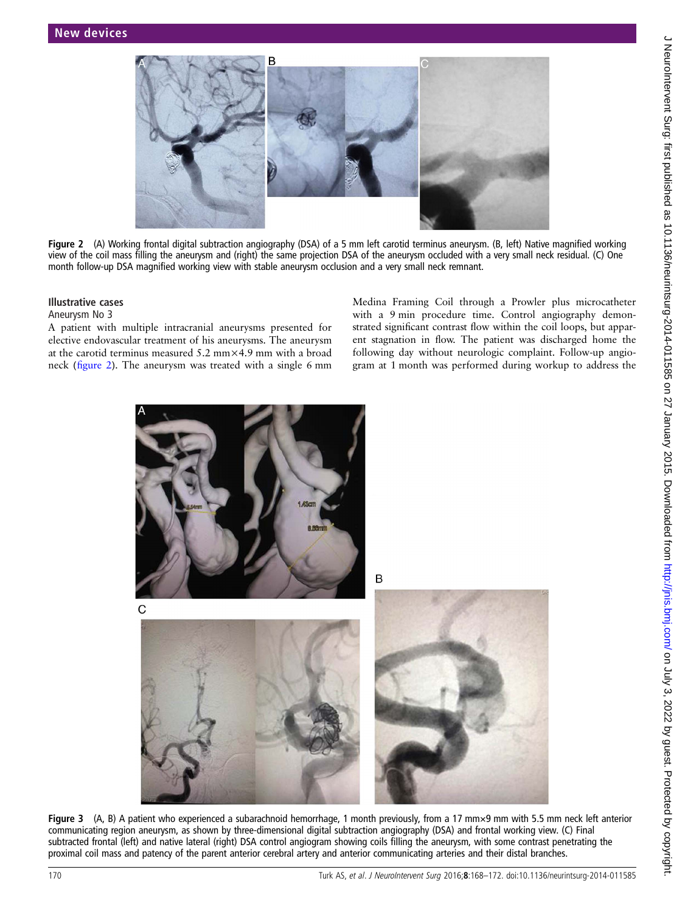<span id="page-2-0"></span>

Figure 2 (A) Working frontal digital subtraction angiography (DSA) of a 5 mm left carotid terminus aneurysm. (B, left) Native magnified working view of the coil mass filling the aneurysm and (right) the same projection DSA of the aneurysm occluded with a very small neck residual. (C) One month follow-up DSA magnified working view with stable aneurysm occlusion and a very small neck remnant.

#### Illustrative cases

#### Aneurysm No 3

A patient with multiple intracranial aneurysms presented for elective endovascular treatment of his aneurysms. The aneurysm at the carotid terminus measured 5.2 mm×4.9 mm with a broad neck (figure 2). The aneurysm was treated with a single 6 mm

Medina Framing Coil through a Prowler plus microcatheter with a 9 min procedure time. Control angiography demonstrated significant contrast flow within the coil loops, but apparent stagnation in flow. The patient was discharged home the following day without neurologic complaint. Follow-up angiogram at 1 month was performed during workup to address the



Figure 3 (A, B) A patient who experienced a subarachnoid hemorrhage, 1 month previously, from a 17 mm×9 mm with 5.5 mm neck left anterior communicating region aneurysm, as shown by three-dimensional digital subtraction angiography (DSA) and frontal working view. (C) Final subtracted frontal (left) and native lateral (right) DSA control angiogram showing coils filling the aneurysm, with some contrast penetrating the proximal coil mass and patency of the parent anterior cerebral artery and anterior communicating arteries and their distal branches.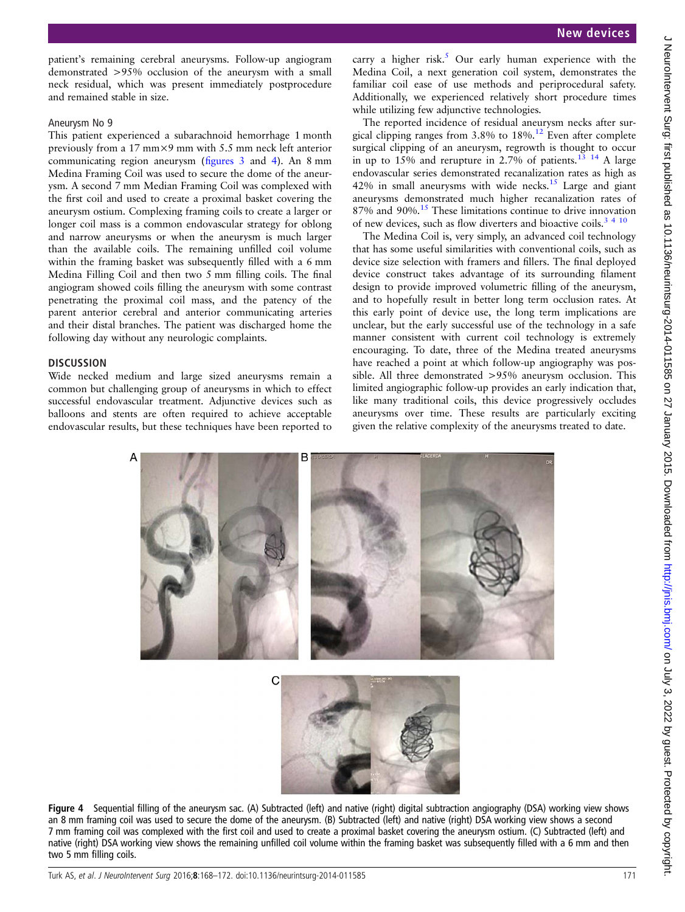patient's remaining cerebral aneurysms. Follow-up angiogram demonstrated >95% occlusion of the aneurysm with a small neck residual, which was present immediately postprocedure and remained stable in size.

## Aneurysm No 9

This patient experienced a subarachnoid hemorrhage 1 month previously from a 17 mm×9 mm with 5.5 mm neck left anterior communicating region aneurysm (fi[gures 3](#page-2-0) and 4). An 8 mm Medina Framing Coil was used to secure the dome of the aneurysm. A second 7 mm Median Framing Coil was complexed with the first coil and used to create a proximal basket covering the aneurysm ostium. Complexing framing coils to create a larger or longer coil mass is a common endovascular strategy for oblong and narrow aneurysms or when the aneurysm is much larger than the available coils. The remaining unfilled coil volume within the framing basket was subsequently filled with a 6 mm Medina Filling Coil and then two 5 mm filling coils. The final angiogram showed coils filling the aneurysm with some contrast penetrating the proximal coil mass, and the patency of the parent anterior cerebral and anterior communicating arteries and their distal branches. The patient was discharged home the following day without any neurologic complaints.

## **DISCUSSION**

Wide necked medium and large sized aneurysms remain a common but challenging group of aneurysms in which to effect successful endovascular treatment. Adjunctive devices such as balloons and stents are often required to achieve acceptable endovascular results, but these techniques have been reported to

carry a higher risk.<sup>[5](#page-4-0)</sup> Our early human experience with the Medina Coil, a next generation coil system, demonstrates the familiar coil ease of use methods and periprocedural safety. Additionally, we experienced relatively short procedure times while utilizing few adjunctive technologies.

The reported incidence of residual aneurysm necks after surgical clipping ranges from  $3.8\%$  to  $18\%$ .<sup>12</sup> Even after complete surgical clipping of an aneurysm, regrowth is thought to occur in up to 15% and rerupture in 2.7% of patients.<sup>[13 14](#page-4-0)</sup> A large endovascular series demonstrated recanalization rates as high as  $42\%$  in small aneurysms with wide necks.<sup>[15](#page-4-0)</sup> Large and giant aneurysms demonstrated much higher recanalization rates of 87% and 90%.<sup>15</sup> These limitations continue to drive innovation of new devices, such as flow diverters and bioactive coils.<sup>3</sup><sup>4</sup><sup>10</sup>

The Medina Coil is, very simply, an advanced coil technology that has some useful similarities with conventional coils, such as device size selection with framers and fillers. The final deployed device construct takes advantage of its surrounding filament design to provide improved volumetric filling of the aneurysm, and to hopefully result in better long term occlusion rates. At this early point of device use, the long term implications are unclear, but the early successful use of the technology in a safe manner consistent with current coil technology is extremely encouraging. To date, three of the Medina treated aneurysms have reached a point at which follow-up angiography was possible. All three demonstrated >95% aneurysm occlusion. This limited angiographic follow-up provides an early indication that, like many traditional coils, this device progressively occludes aneurysms over time. These results are particularly exciting given the relative complexity of the aneurysms treated to date.



Figure 4 Sequential filling of the aneurysm sac. (A) Subtracted (left) and native (right) digital subtraction angiography (DSA) working view shows an 8 mm framing coil was used to secure the dome of the aneurysm. (B) Subtracted (left) and native (right) DSA working view shows a second 7 mm framing coil was complexed with the first coil and used to create a proximal basket covering the aneurysm ostium. (C) Subtracted (left) and native (right) DSA working view shows the remaining unfilled coil volume within the framing basket was subsequently filled with a 6 mm and then two 5 mm filling coils.